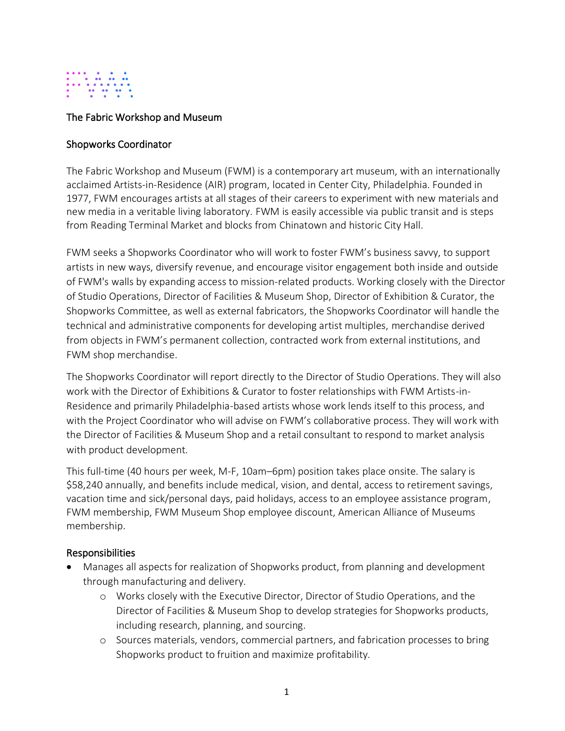

### The Fabric Workshop and Museum

#### Shopworks Coordinator

The Fabric Workshop and Museum (FWM) is a contemporary art museum, with an internationally acclaimed Artists-in-Residence (AIR) program, located in Center City, Philadelphia. Founded in 1977, FWM encourages artists at all stages of their careers to experiment with new materials and new media in a veritable living laboratory. FWM is easily accessible via public transit and is steps from Reading Terminal Market and blocks from Chinatown and historic City Hall.

FWM seeks a Shopworks Coordinator who will work to foster FWM's business savvy, to support artists in new ways, diversify revenue, and encourage visitor engagement both inside and outside of FWM's walls by expanding access to mission-related products. Working closely with the Director of Studio Operations, Director of Facilities & Museum Shop, Director of Exhibition & Curator, the Shopworks Committee, as well as external fabricators, the Shopworks Coordinator will handle the technical and administrative components for developing artist multiples, merchandise derived from objects in FWM's permanent collection, contracted work from external institutions, and FWM shop merchandise.

The Shopworks Coordinator will report directly to the Director of Studio Operations. They will also work with the Director of Exhibitions & Curator to foster relationships with FWM Artists-in-Residence and primarily Philadelphia-based artists whose work lends itself to this process, and with the Project Coordinator who will advise on FWM's collaborative process. They will work with the Director of Facilities & Museum Shop and a retail consultant to respond to market analysis with product development.

This full-time (40 hours per week, M-F, 10am–6pm) position takes place onsite. The salary is \$58,240 annually, and benefits include medical, vision, and dental, access to retirement savings, vacation time and sick/personal days, paid holidays, access to an employee assistance program, FWM membership, FWM Museum Shop employee discount, American Alliance of Museums membership.

### Responsibilities

- Manages all aspects for realization of Shopworks product, from planning and development through manufacturing and delivery.
	- o Works closely with the Executive Director, Director of Studio Operations, and the Director of Facilities & Museum Shop to develop strategies for Shopworks products, including research, planning, and sourcing.
	- o Sources materials, vendors, commercial partners, and fabrication processes to bring Shopworks product to fruition and maximize profitability.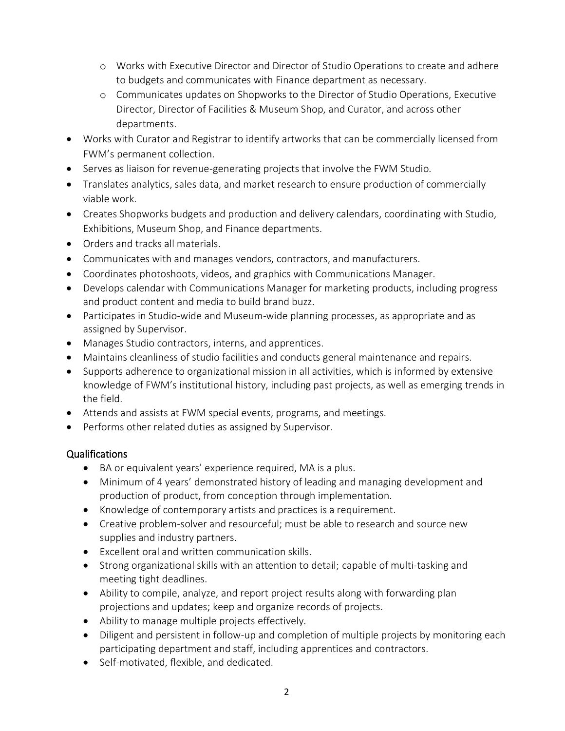- o Works with Executive Director and Director of Studio Operations to create and adhere to budgets and communicates with Finance department as necessary.
- o Communicates updates on Shopworks to the Director of Studio Operations, Executive Director, Director of Facilities & Museum Shop, and Curator, and across other departments.
- Works with Curator and Registrar to identify artworks that can be commercially licensed from FWM's permanent collection.
- Serves as liaison for revenue-generating projects that involve the FWM Studio.
- Translates analytics, sales data, and market research to ensure production of commercially viable work.
- Creates Shopworks budgets and production and delivery calendars, coordinating with Studio, Exhibitions, Museum Shop, and Finance departments.
- Orders and tracks all materials.
- Communicates with and manages vendors, contractors, and manufacturers.
- Coordinates photoshoots, videos, and graphics with Communications Manager.
- Develops calendar with Communications Manager for marketing products, including progress and product content and media to build brand buzz.
- Participates in Studio-wide and Museum-wide planning processes, as appropriate and as assigned by Supervisor.
- Manages Studio contractors, interns, and apprentices.
- Maintains cleanliness of studio facilities and conducts general maintenance and repairs.
- Supports adherence to organizational mission in all activities, which is informed by extensive knowledge of FWM's institutional history, including past projects, as well as emerging trends in the field.
- Attends and assists at FWM special events, programs, and meetings.
- Performs other related duties as assigned by Supervisor.

# Qualifications

- BA or equivalent years' experience required, MA is a plus.
- Minimum of 4 years' demonstrated history of leading and managing development and production of product, from conception through implementation.
- Knowledge of contemporary artists and practices is a requirement.
- Creative problem-solver and resourceful; must be able to research and source new supplies and industry partners.
- Excellent oral and written communication skills.
- Strong organizational skills with an attention to detail; capable of multi-tasking and meeting tight deadlines.
- Ability to compile, analyze, and report project results along with forwarding plan projections and updates; keep and organize records of projects.
- Ability to manage multiple projects effectively.
- Diligent and persistent in follow-up and completion of multiple projects by monitoring each participating department and staff, including apprentices and contractors.
- Self-motivated, flexible, and dedicated.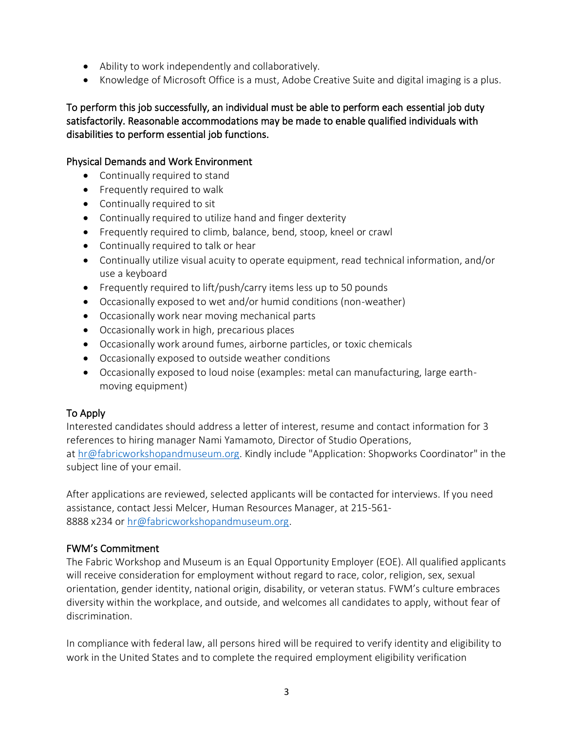- Ability to work independently and collaboratively.
- Knowledge of Microsoft Office is a must, Adobe Creative Suite and digital imaging is a plus.

To perform this job successfully, an individual must be able to perform each essential job duty satisfactorily. Reasonable accommodations may be made to enable qualified individuals with disabilities to perform essential job functions.

### Physical Demands and Work Environment

- Continually required to stand
- Frequently required to walk
- Continually required to sit
- Continually required to utilize hand and finger dexterity
- Frequently required to climb, balance, bend, stoop, kneel or crawl
- Continually required to talk or hear
- Continually utilize visual acuity to operate equipment, read technical information, and/or use a keyboard
- Frequently required to lift/push/carry items less up to 50 pounds
- Occasionally exposed to wet and/or humid conditions (non-weather)
- Occasionally work near moving mechanical parts
- Occasionally work in high, precarious places
- Occasionally work around fumes, airborne particles, or toxic chemicals
- Occasionally exposed to outside weather conditions
- Occasionally exposed to loud noise (examples: metal can manufacturing, large earthmoving equipment)

# To Apply

Interested candidates should address a letter of interest, resume and contact information for 3 references to hiring manager Nami Yamamoto, Director of Studio Operations, at [hr@fabricworkshopandmuseum.org.](mailto:hr@fabricworkshopandmuseum.org) Kindly include "Application: Shopworks Coordinator" in the subject line of your email.

After applications are reviewed, selected applicants will be contacted for interviews. If you need assistance, contact Jessi Melcer, Human Resources Manager, at 215-561- 8888 x234 or [hr@fabricworkshopandmuseum.org.](mailto:hr@fabricworkshopandmuseum.org)

### FWM's Commitment

The Fabric Workshop and Museum is an Equal Opportunity Employer (EOE). All qualified applicants will receive consideration for employment without regard to race, color, religion, sex, sexual orientation, gender identity, national origin, disability, or veteran status. FWM's culture embraces diversity within the workplace, and outside, and welcomes all candidates to apply, without fear of discrimination.

In compliance with federal law, all persons hired will be required to verify identity and eligibility to work in the United States and to complete the required employment eligibility verification